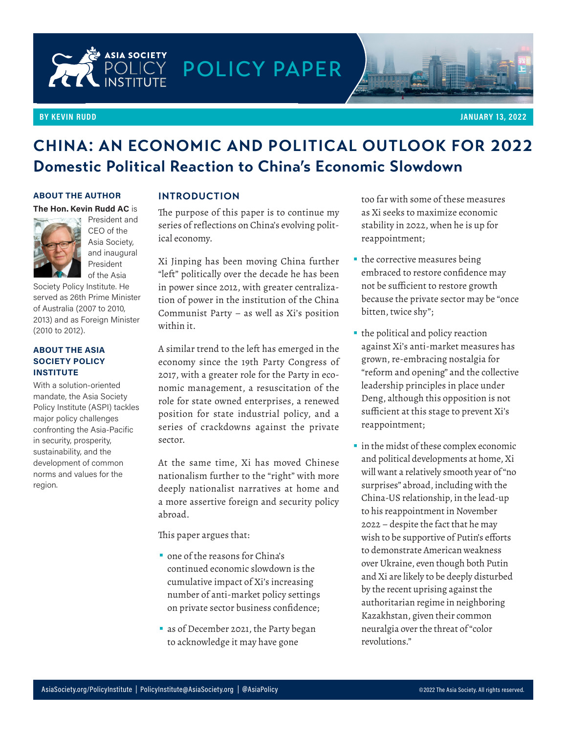

#### **BY KEVIN RUDD**



### **CHINA: AN ECONOMIC AND POLITICAL OUTLOOK FOR 2022 Domestic Political Reaction to China's Economic Slowdown**

#### **ABOUT THE AUTHOR**

#### **The Hon. Kevin Rudd AC** is



President and CEO of the Asia Society, and inaugural President of the Asia

Society Policy Institute. He served as 26th Prime Minister of Australia (2007 to 2010, 2013) and as Foreign Minister (2010 to 2012).

#### **ABOUT THE ASIA SOCIETY POLICY INSTITUTE**

With a solution-oriented mandate, the Asia Society Policy Institute (ASPI) tackles major policy challenges confronting the Asia-Pacific in security, prosperity, sustainability, and the development of common norms and values for the region.

#### **INTRODUCTION**

The purpose of this paper is to continue my series of reflections on China's evolving political economy.

Xi Jinping has been moving China further "left" politically over the decade he has been in power since 2012, with greater centralization of power in the institution of the China Communist Party – as well as Xi's position within it.

A similar trend to the left has emerged in the economy since the 19th Party Congress of 2017, with a greater role for the Party in economic management, a resuscitation of the role for state owned enterprises, a renewed position for state industrial policy, and a series of crackdowns against the private sector.

At the same time, Xi has moved Chinese nationalism further to the "right" with more deeply nationalist narratives at home and a more assertive foreign and security policy abroad.

This paper argues that:

- **•** one of the reasons for China's continued economic slowdown is the cumulative impact of Xi's increasing number of anti-market policy settings on private sector business confidence;
- **•** as of December 2021, the Party began to acknowledge it may have gone

too far with some of these measures as Xi seeks to maximize economic stability in 2022, when he is up for reappointment;

- **•** the corrective measures being embraced to restore confidence may not be sufficient to restore growth because the private sector may be "once bitten, twice shy";
- **•** the political and policy reaction against Xi's anti-market measures has grown, re-embracing nostalgia for "reform and opening" and the collective leadership principles in place under Deng, although this opposition is not sufficient at this stage to prevent Xi's reappointment;
- **•** in the midst of these complex economic and political developments at home, Xi will want a relatively smooth year of "no surprises" abroad, including with the China-US relationship, in the lead-up to his reappointment in November 2022 – despite the fact that he may wish to be supportive of Putin's efforts to demonstrate American weakness over Ukraine, even though both Putin and Xi are likely to be deeply disturbed by the recent uprising against the authoritarian regime in neighboring Kazakhstan, given their common neuralgia over the threat of "color revolutions."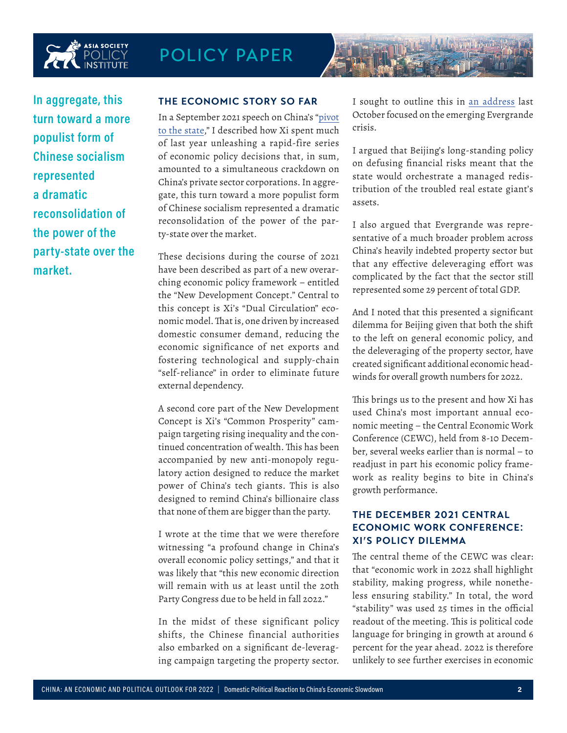



#### **THE ECONOMIC STORY SO FAR**

In a September 2021 speech on China's ["pivot](https://asiasociety.org/policy-institute/xi-jinpings-pivot-state) [to the state](https://asiasociety.org/policy-institute/xi-jinpings-pivot-state)," I described how Xi spent much of last year unleashing a rapid-fire series of economic policy decisions that, in sum, amounted to a simultaneous crackdown on China's private sector corporations. In aggregate, this turn toward a more populist form of Chinese socialism represented a dramatic reconsolidation of the power of the party-state over the market.

These decisions during the course of 2021 have been described as part of a new overarching economic policy framework – entitled the "New Development Concept." Central to this concept is Xi's "Dual Circulation" economic model. That is, one driven by increased domestic consumer demand, reducing the economic significance of net exports and fostering technological and supply-chain "self-reliance" in order to eliminate future external dependency.

A second core part of the New Development Concept is Xi's "Common Prosperity" campaign targeting rising inequality and the continued concentration of wealth. This has been accompanied by new anti-monopoly regulatory action designed to reduce the market power of China's tech giants. This is also designed to remind China's billionaire class that none of them are bigger than the party.

I wrote at the time that we were therefore witnessing "a profound change in China's overall economic policy settings," and that it was likely that "this new economic direction will remain with us at least until the 20th Party Congress due to be held in fall 2022."

In the midst of these significant policy shifts, the Chinese financial authorities also embarked on a significant de-leveraging campaign targeting the property sector. I sought to outline this in [an address](https://asiasociety.org/policy-institute/understanding-evergrande) last October focused on the emerging Evergrande crisis.

I argued that Beijing's long-standing policy on defusing financial risks meant that the state would orchestrate a managed redistribution of the troubled real estate giant's assets.

I also argued that Evergrande was representative of a much broader problem across China's heavily indebted property sector but that any effective deleveraging effort was complicated by the fact that the sector still represented some 29 percent of total GDP.

And I noted that this presented a significant dilemma for Beijing given that both the shift to the left on general economic policy, and the deleveraging of the property sector, have created significant additional economic headwinds for overall growth numbers for 2022.

This brings us to the present and how Xi has used China's most important annual economic meeting – the Central Economic Work Conference (CEWC), held from 8-10 December, several weeks earlier than is normal – to readjust in part his economic policy framework as reality begins to bite in China's growth performance.

### **THE DECEMBER 2021 CENTRAL ECONOMIC WORK CONFERENCE: XI'S POLICY DILEMMA**

The central theme of the CEWC was clear: that "economic work in 2022 shall highlight stability, making progress, while nonetheless ensuring stability." In total, the word "stability" was used 25 times in the official readout of the meeting. This is political code language for bringing in growth at around 6 percent for the year ahead. 2022 is therefore unlikely to see further exercises in economic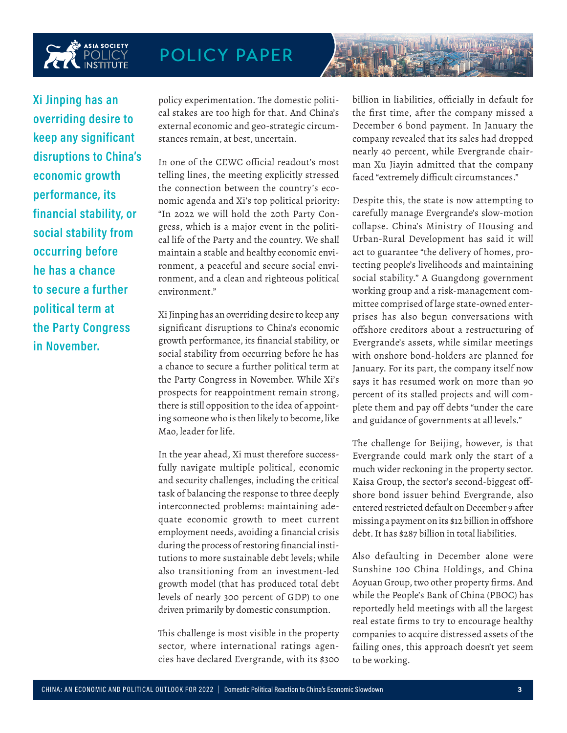

**Xi Jinping has an overriding desire to keep any significant disruptions to China's economic growth performance, its financial stability, or social stability from occurring before he has a chance to secure a further political term at the Party Congress in November.**

policy experimentation. The domestic political stakes are too high for that. And China's external economic and geo-strategic circumstances remain, at best, uncertain.

In one of the CEWC official readout's most telling lines, the meeting explicitly stressed the connection between the country's economic agenda and Xi's top political priority: "In 2022 we will hold the 20th Party Congress, which is a major event in the political life of the Party and the country. We shall maintain a stable and healthy economic environment, a peaceful and secure social environment, and a clean and righteous political environment."

Xi Jinping has an overriding desire to keep any significant disruptions to China's economic growth performance, its financial stability, or social stability from occurring before he has a chance to secure a further political term at the Party Congress in November. While Xi's prospects for reappointment remain strong, there is still opposition to the idea of appointing someone who is then likely to become, like Mao, leader for life.

In the year ahead, Xi must therefore successfully navigate multiple political, economic and security challenges, including the critical task of balancing the response to three deeply interconnected problems: maintaining adequate economic growth to meet current employment needs, avoiding a financial crisis during the process of restoring financial institutions to more sustainable debt levels; while also transitioning from an investment-led growth model (that has produced total debt levels of nearly 300 percent of GDP) to one driven primarily by domestic consumption.

This challenge is most visible in the property sector, where international ratings agencies have declared Evergrande, with its \$300

billion in liabilities, officially in default for the first time, after the company missed a December 6 bond payment. In January the company revealed that its sales had dropped nearly 40 percent, while Evergrande chairman Xu Jiayin admitted that the company faced "extremely difficult circumstances."

Despite this, the state is now attempting to carefully manage Evergrande's slow-motion collapse. China's Ministry of Housing and Urban-Rural Development has said it will act to guarantee "the delivery of homes, protecting people's livelihoods and maintaining social stability." A Guangdong government working group and a risk-management committee comprised of large state-owned enterprises has also begun conversations with offshore creditors about a restructuring of Evergrande's assets, while similar meetings with onshore bond-holders are planned for January. For its part, the company itself now says it has resumed work on more than 90 percent of its stalled projects and will complete them and pay off debts "under the care and guidance of governments at all levels."

The challenge for Beijing, however, is that Evergrande could mark only the start of a much wider reckoning in the property sector. Kaisa Group, the sector's second-biggest offshore bond issuer behind Evergrande, also entered restricted default on December 9 after missing a payment on its \$12 billion in offshore debt. It has \$287 billion in total liabilities.

Also defaulting in December alone were Sunshine 100 China Holdings, and China Aoyuan Group, two other property firms. And while the People's Bank of China (PBOC) has reportedly held meetings with all the largest real estate firms to try to encourage healthy companies to acquire distressed assets of the failing ones, this approach doesn't yet seem to be working.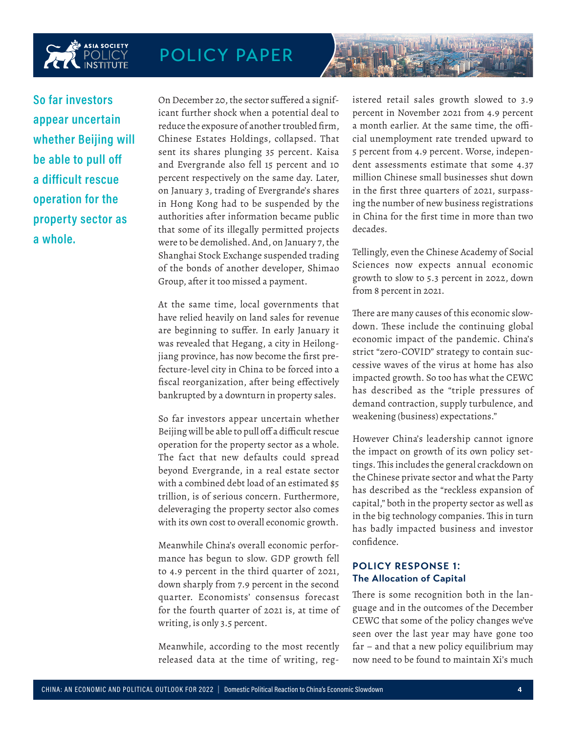

**So far investors appear uncertain whether Beijing will be able to pull off a difficult rescue operation for the property sector as a whole.** 

On December 20, the sector suffered a significant further shock when a potential deal to reduce the exposure of another troubled firm, Chinese Estates Holdings, collapsed. That sent its shares plunging 35 percent. Kaisa and Evergrande also fell 15 percent and 10 percent respectively on the same day. Later, on January 3, trading of Evergrande's shares in Hong Kong had to be suspended by the authorities after information became public that some of its illegally permitted projects were to be demolished. And, on January 7, the Shanghai Stock Exchange suspended trading of the bonds of another developer, Shimao Group, after it too missed a payment.

At the same time, local governments that have relied heavily on land sales for revenue are beginning to suffer. In early January it was revealed that Hegang, a city in Heilongjiang province, has now become the first prefecture-level city in China to be forced into a fiscal reorganization, after being effectively bankrupted by a downturn in property sales.

So far investors appear uncertain whether Beijing will be able to pull off a difficult rescue operation for the property sector as a whole. The fact that new defaults could spread beyond Evergrande, in a real estate sector with a combined debt load of an estimated \$5 trillion, is of serious concern. Furthermore, deleveraging the property sector also comes with its own cost to overall economic growth.

Meanwhile China's overall economic performance has begun to slow. GDP growth fell to 4.9 percent in the third quarter of 2021, down sharply from 7.9 percent in the second quarter. Economists' consensus forecast for the fourth quarter of 2021 is, at time of writing, is only 3.5 percent.

Meanwhile, according to the most recently released data at the time of writing, registered retail sales growth slowed to 3.9 percent in November 2021 from 4.9 percent a month earlier. At the same time, the official unemployment rate trended upward to 5 percent from 4.9 percent. Worse, independent assessments estimate that some 4.37 million Chinese small businesses shut down in the first three quarters of 2021, surpassing the number of new business registrations in China for the first time in more than two decades.

Tellingly, even the Chinese Academy of Social Sciences now expects annual economic growth to slow to 5.3 percent in 2022, down from 8 percent in 2021.

There are many causes of this economic slowdown. These include the continuing global economic impact of the pandemic. China's strict "zero-COVID" strategy to contain successive waves of the virus at home has also impacted growth. So too has what the CEWC has described as the "triple pressures of demand contraction, supply turbulence, and weakening (business) expectations."

However China's leadership cannot ignore the impact on growth of its own policy settings. This includes the general crackdown on the Chinese private sector and what the Party has described as the "reckless expansion of capital," both in the property sector as well as in the big technology companies. This in turn has badly impacted business and investor confidence.

### **POLICY RESPONSE 1: The Allocation of Capital**

There is some recognition both in the language and in the outcomes of the December CEWC that some of the policy changes we've seen over the last year may have gone too far – and that a new policy equilibrium may now need to be found to maintain Xi's much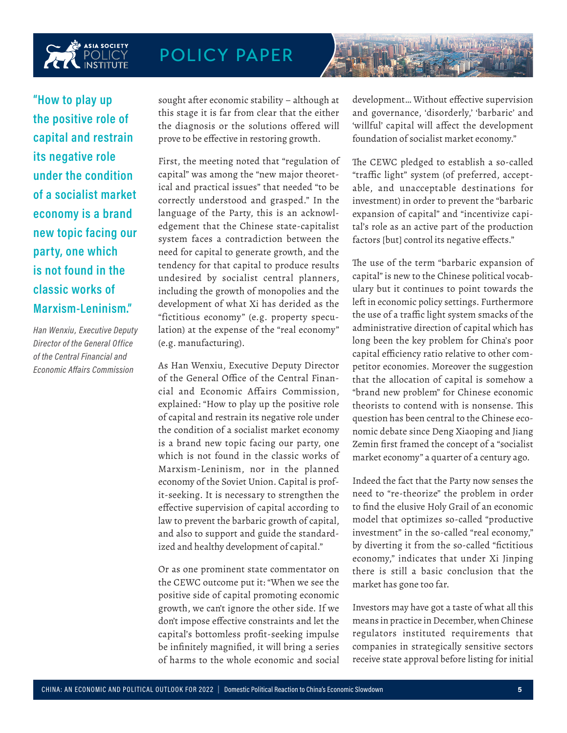

**"How to play up the positive role of capital and restrain its negative role under the condition of a socialist market economy is a brand new topic facing our party, one which is not found in the classic works of Marxism-Leninism."**

*Han Wenxiu, Executive Deputy Director of the General Office of the Central Financial and Economic Affairs Commission*

sought after economic stability – although at this stage it is far from clear that the either the diagnosis or the solutions offered will prove to be effective in restoring growth.

First, the meeting noted that "regulation of capital" was among the "new major theoretical and practical issues" that needed "to be correctly understood and grasped." In the language of the Party, this is an acknowledgement that the Chinese state-capitalist system faces a contradiction between the need for capital to generate growth, and the tendency for that capital to produce results undesired by socialist central planners, including the growth of monopolies and the development of what Xi has derided as the "fictitious economy" (e.g. property speculation) at the expense of the "real economy" (e.g. manufacturing).

As Han Wenxiu, Executive Deputy Director of the General Office of the Central Financial and Economic Affairs Commission, explained: "How to play up the positive role of capital and restrain its negative role under the condition of a socialist market economy is a brand new topic facing our party, one which is not found in the classic works of Marxism-Leninism, nor in the planned economy of the Soviet Union. Capital is profit-seeking. It is necessary to strengthen the effective supervision of capital according to law to prevent the barbaric growth of capital, and also to support and guide the standardized and healthy development of capital."

Or as one prominent state commentator on the CEWC outcome put it: "When we see the positive side of capital promoting economic growth, we can't ignore the other side. If we don't impose effective constraints and let the capital's bottomless profit-seeking impulse be infinitely magnified, it will bring a series of harms to the whole economic and social

development… Without effective supervision and governance, 'disorderly,' 'barbaric' and 'willful' capital will affect the development foundation of socialist market economy."

The CEWC pledged to establish a so-called "traffic light" system (of preferred, acceptable, and unacceptable destinations for investment) in order to prevent the "barbaric expansion of capital" and "incentivize capital's role as an active part of the production factors [but] control its negative effects."

The use of the term "barbaric expansion of capital" is new to the Chinese political vocabulary but it continues to point towards the left in economic policy settings. Furthermore the use of a traffic light system smacks of the administrative direction of capital which has long been the key problem for China's poor capital efficiency ratio relative to other competitor economies. Moreover the suggestion that the allocation of capital is somehow a "brand new problem" for Chinese economic theorists to contend with is nonsense. This question has been central to the Chinese economic debate since Deng Xiaoping and Jiang Zemin first framed the concept of a "socialist market economy" a quarter of a century ago.

Indeed the fact that the Party now senses the need to "re-theorize" the problem in order to find the elusive Holy Grail of an economic model that optimizes so-called "productive investment" in the so-called "real economy," by diverting it from the so-called "fictitious economy," indicates that under Xi Jinping there is still a basic conclusion that the market has gone too far.

Investors may have got a taste of what all this means in practice in December, when Chinese regulators instituted requirements that companies in strategically sensitive sectors receive state approval before listing for initial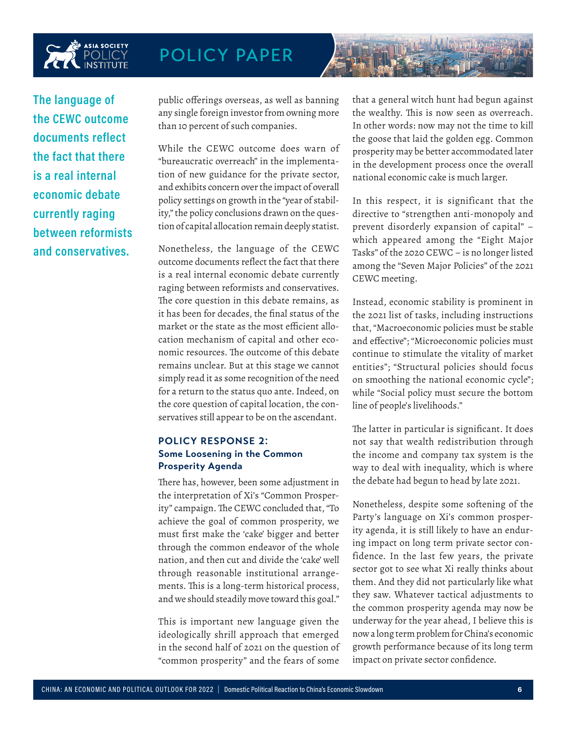

**The language of the CEWC outcome documents reflect the fact that there is a real internal economic debate currently raging between reformists and conservatives.**

public offerings overseas, as well as banning any single foreign investor from owning more than 10 percent of such companies.

While the CEWC outcome does warn of "bureaucratic overreach" in the implementation of new guidance for the private sector, and exhibits concern over the impact of overall policy settings on growth in the "year of stability," the policy conclusions drawn on the question of capital allocation remain deeply statist.

Nonetheless, the language of the CEWC outcome documents reflect the fact that there is a real internal economic debate currently raging between reformists and conservatives. The core question in this debate remains, as it has been for decades, the final status of the market or the state as the most efficient allocation mechanism of capital and other economic resources. The outcome of this debate remains unclear. But at this stage we cannot simply read it as some recognition of the need for a return to the status quo ante. Indeed, on the core question of capital location, the conservatives still appear to be on the ascendant.

#### **POLICY RESPONSE 2: Some Loosening in the Common Prosperity Agenda**

There has, however, been some adjustment in the interpretation of Xi's "Common Prosperity" campaign. The CEWC concluded that, "To achieve the goal of common prosperity, we must first make the 'cake' bigger and better through the common endeavor of the whole nation, and then cut and divide the 'cake' well through reasonable institutional arrangements. This is a long-term historical process, and we should steadily move toward this goal."

This is important new language given the ideologically shrill approach that emerged in the second half of 2021 on the question of "common prosperity" and the fears of some

that a general witch hunt had begun against the wealthy. This is now seen as overreach. In other words: now may not the time to kill the goose that laid the golden egg. Common prosperity may be better accommodated later in the development process once the overall national economic cake is much larger.

In this respect, it is significant that the directive to "strengthen anti-monopoly and prevent disorderly expansion of capital" – which appeared among the "Eight Major Tasks" of the 2020 CEWC – is no longer listed among the "Seven Major Policies" of the 2021 CEWC meeting.

Instead, economic stability is prominent in the 2021 list of tasks, including instructions that, "Macroeconomic policies must be stable and effective"; "Microeconomic policies must continue to stimulate the vitality of market entities"; "Structural policies should focus on smoothing the national economic cycle"; while "Social policy must secure the bottom line of people's livelihoods."

The latter in particular is significant. It does not say that wealth redistribution through the income and company tax system is the way to deal with inequality, which is where the debate had begun to head by late 2021.

Nonetheless, despite some softening of the Party's language on Xi's common prosperity agenda, it is still likely to have an enduring impact on long term private sector confidence. In the last few years, the private sector got to see what Xi really thinks about them. And they did not particularly like what they saw. Whatever tactical adjustments to the common prosperity agenda may now be underway for the year ahead, I believe this is now a long term problem for China's economic growth performance because of its long term impact on private sector confidence.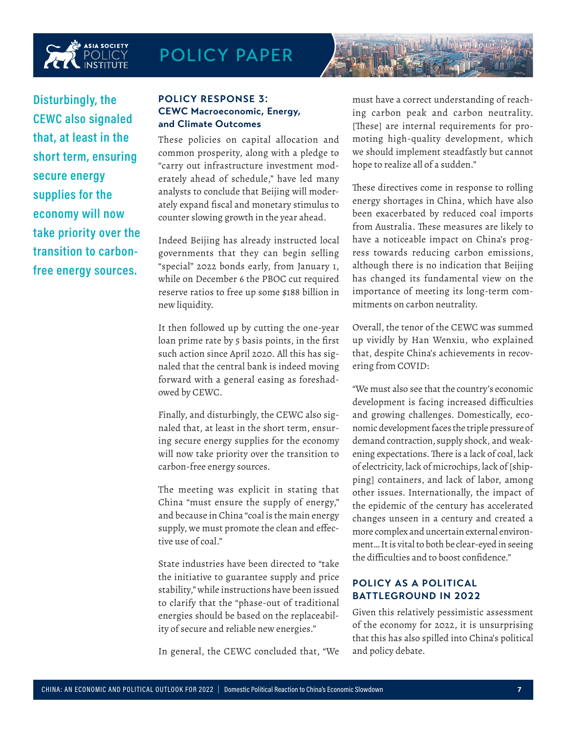

**Disturbingly, the CEWC also signaled that, at least in the short term, ensuring secure energy supplies for the economy will now take priority over the transition to carbonfree energy sources.**

#### **POLICY RESPONSE 3: CEWC Macroeconomic, Energy, and Climate Outcomes**

These policies on capital allocation and common prosperity, along with a pledge to "carry out infrastructure investment moderately ahead of schedule," have led many analysts to conclude that Beijing will moderately expand fiscal and monetary stimulus to counter slowing growth in the year ahead.

Indeed Beijing has already instructed local governments that they can begin selling "special" 2022 bonds early, from January 1, while on December 6 the PBOC cut required reserve ratios to free up some \$188 billion in new liquidity.

It then followed up by cutting the one-year loan prime rate by 5 basis points, in the first such action since April 2020. All this has signaled that the central bank is indeed moving forward with a general easing as foreshadowed by CEWC.

Finally, and disturbingly, the CEWC also signaled that, at least in the short term, ensuring secure energy supplies for the economy will now take priority over the transition to carbon-free energy sources.

The meeting was explicit in stating that China "must ensure the supply of energy," and because in China "coal is the main energy supply, we must promote the clean and effective use of coal."

State industries have been directed to "take the initiative to guarantee supply and price stability," while instructions have been issued to clarify that the "phase-out of traditional energies should be based on the replaceability of secure and reliable new energies."

In general, the CEWC concluded that, "We

must have a correct understanding of reaching carbon peak and carbon neutrality. [These] are internal requirements for promoting high-quality development, which we should implement steadfastly but cannot hope to realize all of a sudden."

These directives come in response to rolling energy shortages in China, which have also been exacerbated by reduced coal imports from Australia. These measures are likely to have a noticeable impact on China's progress towards reducing carbon emissions, although there is no indication that Beijing has changed its fundamental view on the importance of meeting its long-term commitments on carbon neutrality.

Overall, the tenor of the CEWC was summed up vividly by Han Wenxiu, who explained that, despite China's achievements in recovering from COVID:

"We must also see that the country's economic development is facing increased difficulties and growing challenges. Domestically, economic development faces the triple pressure of demand contraction, supply shock, and weakening expectations. There is a lack of coal, lack of electricity, lack of microchips, lack of [shipping] containers, and lack of labor, among other issues. Internationally, the impact of the epidemic of the century has accelerated changes unseen in a century and created a more complex and uncertain external environment… It is vital to both be clear-eyed in seeing the difficulties and to boost confidence."

### **POLICY AS A POLITICAL BATTLEGROUND IN 2022**

Given this relatively pessimistic assessment of the economy for 2022, it is unsurprising that this has also spilled into China's political and policy debate.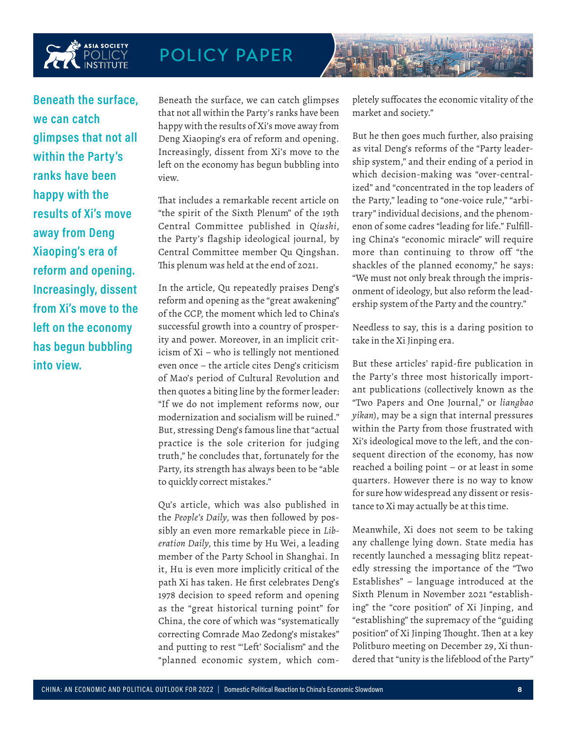

**Beneath the surface, we can catch glimpses that not all within the Party's ranks have been happy with the results of Xi's move away from Deng Xiaoping's era of reform and opening. Increasingly, dissent from Xi's move to the left on the economy has begun bubbling into view.** 

Beneath the surface, we can catch glimpses that not all within the Party's ranks have been happy with the results of Xi's move away from Deng Xiaoping's era of reform and opening. Increasingly, dissent from Xi's move to the left on the economy has begun bubbling into view.

That includes a remarkable recent article on "the spirit of the Sixth Plenum" of the 19th Central Committee published in *Qiushi*, the Party's flagship ideological journal, by Central Committee member Qu Qingshan. This plenum was held at the end of 2021.

In the article, Qu repeatedly praises Deng's reform and opening as the "great awakening" of the CCP, the moment which led to China's successful growth into a country of prosperity and power. Moreover, in an implicit criticism of Xi – who is tellingly not mentioned even once – the article cites Deng's criticism of Mao's period of Cultural Revolution and then quotes a biting line by the former leader: "If we do not implement reforms now, our modernization and socialism will be ruined." But, stressing Deng's famous line that "actual practice is the sole criterion for judging truth," he concludes that, fortunately for the Party, its strength has always been to be "able to quickly correct mistakes."

Qu's article, which was also published in the *People's Daily*, was then followed by possibly an even more remarkable piece in *Liberation Daily*, this time by Hu Wei, a leading member of the Party School in Shanghai. In it, Hu is even more implicitly critical of the path Xi has taken. He first celebrates Deng's 1978 decision to speed reform and opening as the "great historical turning point" for China, the core of which was "systematically correcting Comrade Mao Zedong's mistakes" and putting to rest "'Left' Socialism" and the "planned economic system, which completely suffocates the economic vitality of the market and society."

But he then goes much further, also praising as vital Deng's reforms of the "Party leadership system," and their ending of a period in which decision-making was "over-centralized" and "concentrated in the top leaders of the Party," leading to "one-voice rule," "arbitrary" individual decisions, and the phenomenon of some cadres "leading for life." Fulfilling China's "economic miracle" will require more than continuing to throw off "the shackles of the planned economy," he says: "We must not only break through the imprisonment of ideology, but also reform the leadership system of the Party and the country."

Needless to say, this is a daring position to take in the Xi Jinping era.

But these articles' rapid-fire publication in the Party's three most historically important publications (collectively known as the "Two Papers and One Journal," or *liangbao yikan*), may be a sign that internal pressures within the Party from those frustrated with Xi's ideological move to the left, and the consequent direction of the economy, has now reached a boiling point – or at least in some quarters. However there is no way to know for sure how widespread any dissent or resistance to Xi may actually be at this time.

Meanwhile, Xi does not seem to be taking any challenge lying down. State media has recently launched a messaging blitz repeatedly stressing the importance of the "Two Establishes" – language introduced at the Sixth Plenum in November 2021 "establishing" the "core position" of Xi Jinping, and "establishing" the supremacy of the "guiding position" of Xi Jinping Thought. Then at a key Politburo meeting on December 29, Xi thundered that "unity is the lifeblood of the Party"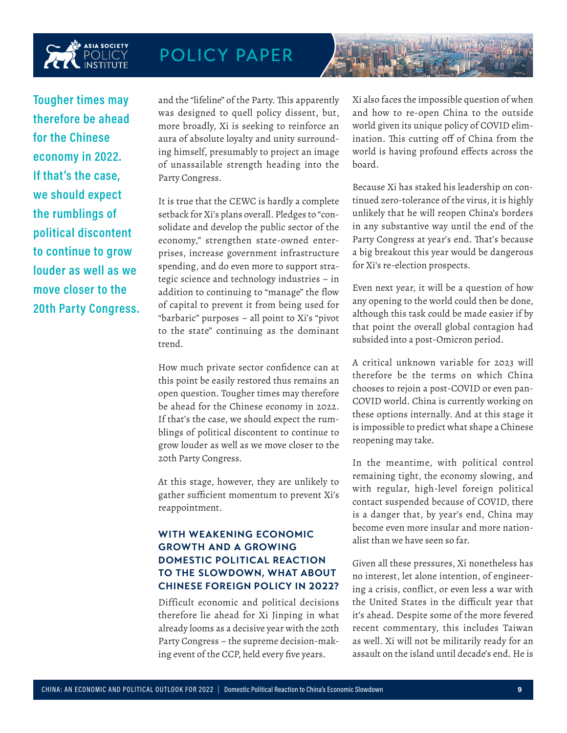

**Tougher times may therefore be ahead for the Chinese economy in 2022. If that's the case, we should expect the rumblings of political discontent to continue to grow louder as well as we move closer to the 20th Party Congress.**

and the "lifeline" of the Party. This apparently was designed to quell policy dissent, but, more broadly, Xi is seeking to reinforce an aura of absolute loyalty and unity surrounding himself, presumably to project an image of unassailable strength heading into the Party Congress.

It is true that the CEWC is hardly a complete setback for Xi's plans overall. Pledges to "consolidate and develop the public sector of the economy," strengthen state-owned enterprises, increase government infrastructure spending, and do even more to support strategic science and technology industries – in addition to continuing to "manage" the flow of capital to prevent it from being used for "barbaric" purposes – all point to Xi's "pivot to the state" continuing as the dominant trend.

How much private sector confidence can at this point be easily restored thus remains an open question. Tougher times may therefore be ahead for the Chinese economy in 2022. If that's the case, we should expect the rumblings of political discontent to continue to grow louder as well as we move closer to the 20th Party Congress.

At this stage, however, they are unlikely to gather sufficient momentum to prevent Xi's reappointment.

### **WITH WEAKENING ECONOMIC GROWTH AND A GROWING DOMESTIC POLITICAL REACTION TO THE SLOWDOWN, WHAT ABOUT CHINESE FOREIGN POLICY IN 2022?**

Difficult economic and political decisions therefore lie ahead for Xi Jinping in what already looms as a decisive year with the 20th Party Congress – the supreme decision-making event of the CCP, held every five years.

Xi also faces the impossible question of when and how to re-open China to the outside world given its unique policy of COVID elimination. This cutting off of China from the world is having profound effects across the board.

Because Xi has staked his leadership on continued zero-tolerance of the virus, it is highly unlikely that he will reopen China's borders in any substantive way until the end of the Party Congress at year's end. That's because a big breakout this year would be dangerous for Xi's re-election prospects.

Even next year, it will be a question of how any opening to the world could then be done, although this task could be made easier if by that point the overall global contagion had subsided into a post-Omicron period.

A critical unknown variable for 2023 will therefore be the terms on which China chooses to rejoin a post-COVID or even pan-COVID world. China is currently working on these options internally. And at this stage it is impossible to predict what shape a Chinese reopening may take.

In the meantime, with political control remaining tight, the economy slowing, and with regular, high-level foreign political contact suspended because of COVID, there is a danger that, by year's end, China may become even more insular and more nationalist than we have seen so far.

Given all these pressures, Xi nonetheless has no interest, let alone intention, of engineering a crisis, conflict, or even less a war with the United States in the difficult year that it's ahead. Despite some of the more fevered recent commentary, this includes Taiwan as well. Xi will not be militarily ready for an assault on the island until decade's end. He is